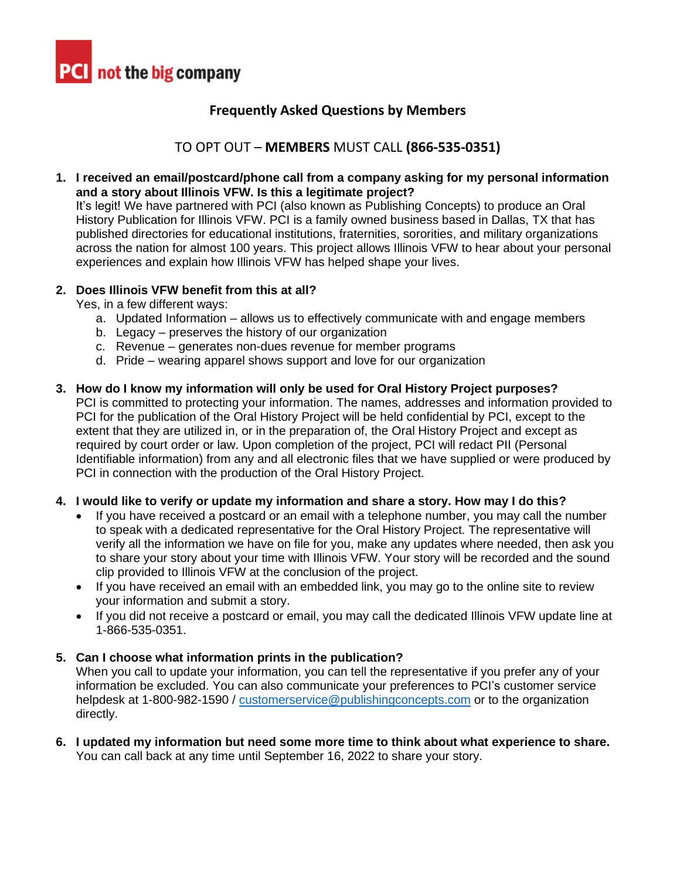

# **Frequently Asked Questions by Members**

# TO OPT OUT – **MEMBERS** MUST CALL **(866-535-0351)**

**1. I received an email/postcard/phone call from a company asking for my personal information and a story about Illinois VFW. Is this a legitimate project?**

It's legit! We have partnered with PCI (also known as Publishing Concepts) to produce an Oral History Publication for Illinois VFW. PCI is a family owned business based in Dallas, TX that has published directories for educational institutions, fraternities, sororities, and military organizations across the nation for almost 100 years. This project allows Illinois VFW to hear about your personal experiences and explain how Illinois VFW has helped shape your lives.

## **2. Does Illinois VFW benefit from this at all?**

Yes, in a few different ways:

- a. Updated Information allows us to effectively communicate with and engage members
- b. Legacy preserves the history of our organization
- c. Revenue generates non-dues revenue for member programs
- d. Pride wearing apparel shows support and love for our organization
- **3. How do I know my information will only be used for Oral History Project purposes?** PCI is committed to protecting your information. The names, addresses and information provided to PCI for the publication of the Oral History Project will be held confidential by PCI, except to the extent that they are utilized in, or in the preparation of, the Oral History Project and except as required by court order or law. Upon completion of the project, PCI will redact PII (Personal Identifiable information) from any and all electronic files that we have supplied or were produced by PCI in connection with the production of the Oral History Project.

### **4. I would like to verify or update my information and share a story. How may I do this?**

- If you have received a postcard or an email with a telephone number, you may call the number to speak with a dedicated representative for the Oral History Project. The representative will verify all the information we have on file for you, make any updates where needed, then ask you to share your story about your time with Illinois VFW. Your story will be recorded and the sound clip provided to Illinois VFW at the conclusion of the project.
- If you have received an email with an embedded link, you may go to the online site to review your information and submit a story.
- If you did not receive a postcard or email, you may call the dedicated Illinois VFW update line at 1-866-535-0351.

### **5. Can I choose what information prints in the publication?**

When you call to update your information, you can tell the representative if you prefer any of your information be excluded. You can also communicate your preferences to PCI's customer service helpdesk at 1-800-982-1590 / [customerservice@publishingconcepts.com](mailto:customerservice@publishingconcepts.com) or to the organization directly.

**6. I updated my information but need some more time to think about what experience to share.**  You can call back at any time until September 16, 2022 to share your story.